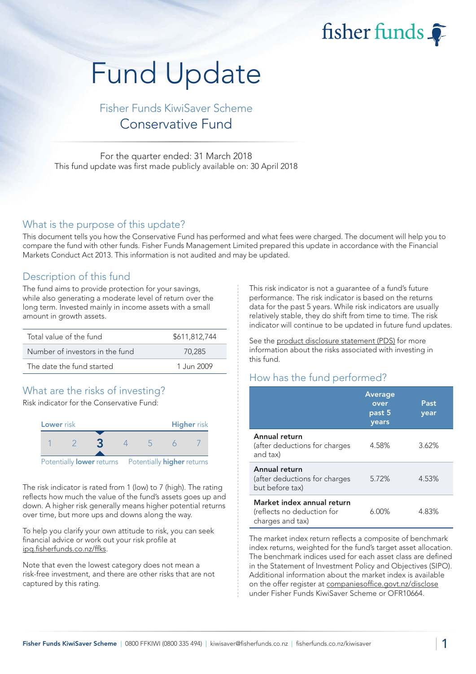fisher funds

# Fund Update

## Fisher Funds KiwiSaver Scheme Conservative Fund

For the quarter ended: 31 March 2018 This fund update was first made publicly available on: 30 April 2018

#### What is the purpose of this update?

This document tells you how the Conservative Fund has performed and what fees were charged. The document will help you to compare the fund with other funds. Fisher Funds Management Limited prepared this update in accordance with the Financial Markets Conduct Act 2013. This information is not audited and may be updated.

### Description of this fund

The fund aims to provide protection for your savings, while also generating a moderate level of return over the long term. Invested mainly in income assets with a small amount in growth assets.

| Total value of the fund         | \$611,812,744 |
|---------------------------------|---------------|
| Number of investors in the fund | 70.285        |
| The date the fund started       | 1.Jun 2009    |

## What are the risks of investing?

Risk indicator for the Conservative Fund:



The risk indicator is rated from 1 (low) to 7 (high). The rating reflects how much the value of the fund's assets goes up and down. A higher risk generally means higher potential returns over time, but more ups and downs along the way.

To help you clarify your own attitude to risk, you can seek financial advice or work out your risk profile at [ipq.fisherfunds.co.nz/ffks.](https://ipq.fisherfunds.co.nz/ffks)

Note that even the lowest category does not mean a risk-free investment, and there are other risks that are not captured by this rating.

This risk indicator is not a guarantee of a fund's future performance. The risk indicator is based on the returns data for the past 5 years. While risk indicators are usually relatively stable, they do shift from time to time. The risk indicator will continue to be updated in future fund updates.

See the [product disclosure statement \(PDS\)](https://fisherfunds.co.nz/assets/PDS/Fisher-Funds-KiwiSaver-Scheme-PDS.pdf) for more information about the risks associated with investing in this fund.

## How has the fund performed?

|                                                                              | <b>Average</b><br>over<br>past 5<br>years | Past<br>year |
|------------------------------------------------------------------------------|-------------------------------------------|--------------|
| Annual return<br>(after deductions for charges<br>and tax)                   | 4.58%                                     | 3.62%        |
| Annual return<br>(after deductions for charges<br>but before tax)            | 5.72%                                     | 4.53%        |
| Market index annual return<br>(reflects no deduction for<br>charges and tax) | 6.00%                                     | 4.83%        |

The market index return reflects a composite of benchmark index returns, weighted for the fund's target asset allocation. The benchmark indices used for each asset class are defined in the Statement of Investment Policy and Objectives (SIPO). Additional information about the market index is available on the offer register at [companiesoffice.govt.nz/disclose](http://companiesoffice.govt.nz/disclose) under Fisher Funds KiwiSaver Scheme or OFR10664.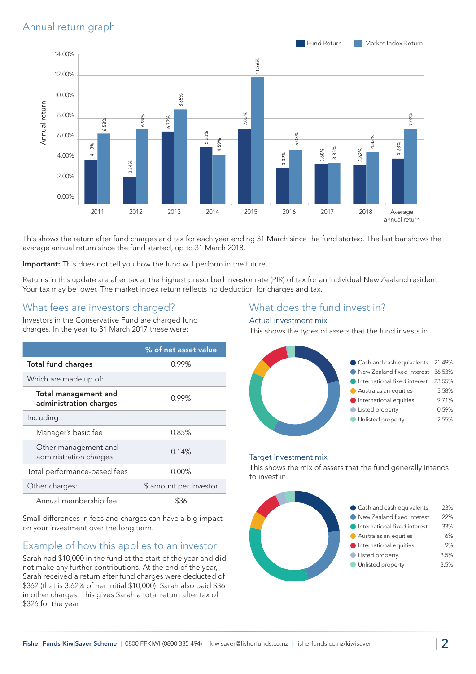

This shows the return after fund charges and tax for each year ending 31 March since the fund started. The last bar shows the average annual return since the fund started, up to 31 March 2018.

Important: This does not tell you how the fund will perform in the future.

Returns in this update are after tax at the highest prescribed investor rate (PIR) of tax for an individual New Zealand resident. Your tax may be lower. The market index return reflects no deduction for charges and tax.

## What fees are investors charged?

Investors in the Conservative Fund are charged fund charges. In the year to 31 March 2017 these were:

|                                                       | % of net asset value   |
|-------------------------------------------------------|------------------------|
| <b>Total fund charges</b>                             | 0.99%                  |
| Which are made up of:                                 |                        |
| <b>Total management and</b><br>administration charges | 0.99%                  |
| Including:                                            |                        |
| Manager's basic fee                                   | 0.85%                  |
| Other management and<br>administration charges        | 0.14%                  |
| Total performance-based fees                          | $0.00\%$               |
| Other charges:                                        | \$ amount per investor |
| Annual membership fee                                 | ዌ36                    |

Small differences in fees and charges can have a big impact on your investment over the long term.

## Example of how this applies to an investor

Sarah had \$10,000 in the fund at the start of the year and did not make any further contributions. At the end of the year, Sarah received a return after fund charges were deducted of \$362 (that is 3.62% of her initial \$10,000). Sarah also paid \$36 in other charges. This gives Sarah a total return after tax of \$326 for the year.

### What does the fund invest in?

#### Actual investment mix

This shows the types of assets that the fund invests in.



#### Target investment mix

This shows the mix of assets that the fund generally intends to invest in.